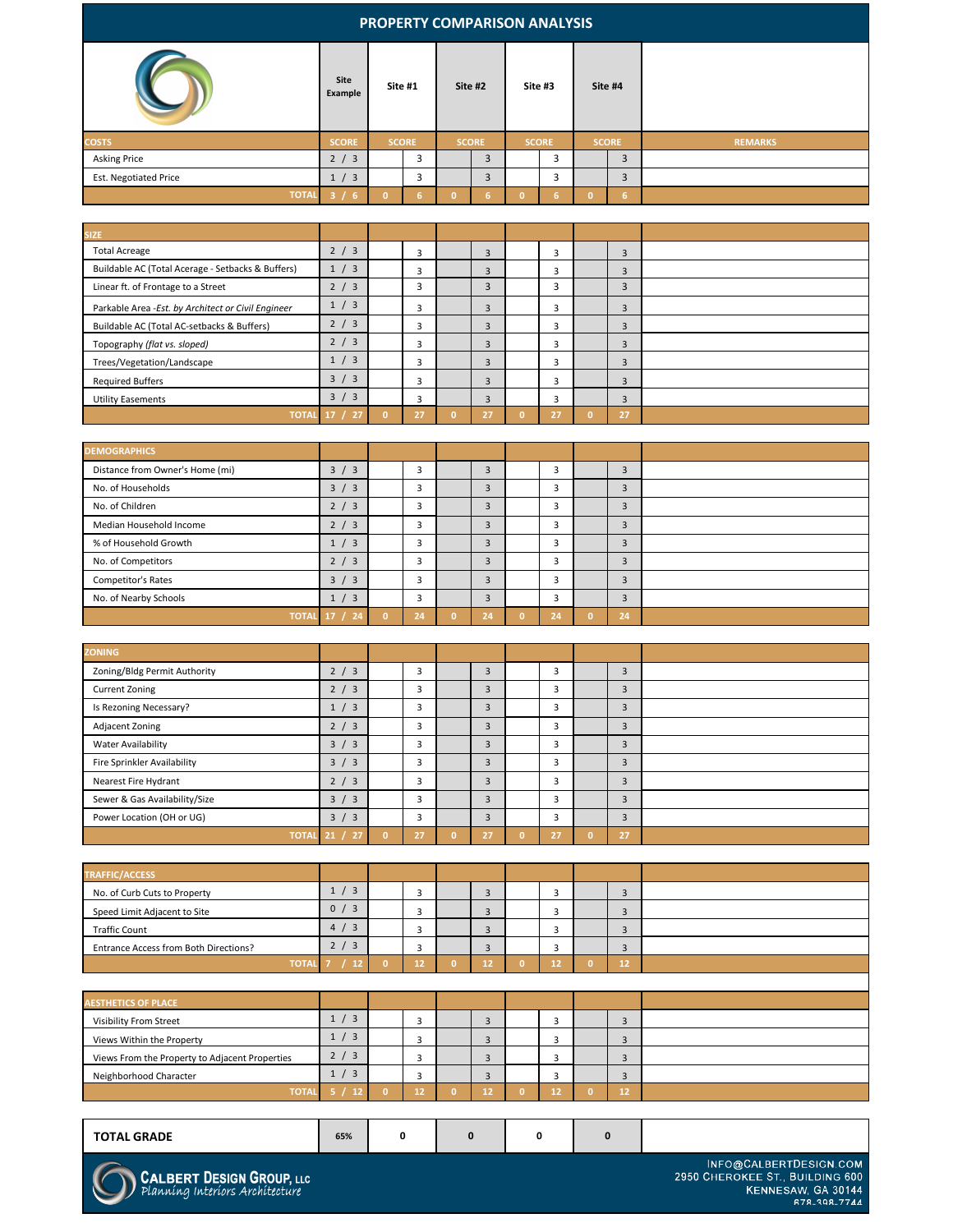## **5 / 12 0 12 0 12 0 12 0 12** TOTAL 5 / IZ

|                              | Site<br><b>Example</b> |                | Site #1        |          | Site #2      |              | Site #3      |              | Site #4          |                |
|------------------------------|------------------------|----------------|----------------|----------|--------------|--------------|--------------|--------------|------------------|----------------|
| <b>COSTS</b>                 | <b>SCORE</b>           |                | <b>SCORE</b>   |          | <b>SCORE</b> |              | <b>SCORE</b> |              | <b>SCORE</b>     | <b>REMARKS</b> |
| <b>Asking Price</b>          | 2 / 3                  |                | $\overline{3}$ |          | 3            |              | 3            |              | 3                |                |
| <b>Est. Negotiated Price</b> | 1 / 3                  |                | $\overline{3}$ |          | 3            |              | 3            |              | $\overline{3}$   |                |
| <b>TOTAL</b>                 | 3/6                    | $\overline{0}$ | 6 <sup>1</sup> | $\Omega$ | 6            | $\mathbf{0}$ | 6            | $\mathbf{0}$ | $6 \overline{6}$ |                |

| <b>SIZE</b>                                         |               |                |                |                |                |  |
|-----------------------------------------------------|---------------|----------------|----------------|----------------|----------------|--|
| <b>Total Acreage</b>                                | 2 / 3         | $\overline{3}$ | $\overline{3}$ | 3              | 3              |  |
| Buildable AC (Total Acerage - Setbacks & Buffers)   | 1 / 3         | $\overline{3}$ | $\overline{3}$ | $\overline{3}$ | $\overline{3}$ |  |
| Linear ft. of Frontage to a Street                  | 2 / 3         | 3              | $\overline{3}$ | 3              | $\overline{3}$ |  |
| Parkable Area - Est. by Architect or Civil Engineer | 1 / 3         | $\overline{3}$ | $\overline{3}$ | $\overline{3}$ | $\overline{3}$ |  |
| Buildable AC (Total AC-setbacks & Buffers)          | 2 / 3         | $\overline{3}$ | $\overline{3}$ | $\overline{3}$ | $\overline{3}$ |  |
| Topography (flat vs. sloped)                        | 2 / 3         | $\overline{3}$ | $\overline{3}$ | 3              | $\overline{3}$ |  |
| Trees/Vegetation/Landscape                          | 1 / 3         | $\overline{3}$ | $\overline{3}$ | $\overline{3}$ | $\overline{3}$ |  |
| <b>Required Buffers</b>                             | 3 / 3         | $\overline{3}$ | 3              | $\overline{3}$ | $\overline{3}$ |  |
| <b>Utility Easements</b>                            | 3 / 3         | $\overline{3}$ | $\overline{3}$ | $\overline{3}$ | $\overline{3}$ |  |
|                                                     | TOTAL 17 / 27 | 27             | 27             | 27             | 27             |  |

| <b>DEMOGRAPHICS</b>             |                      |          |                |                |                  |          |                |  |
|---------------------------------|----------------------|----------|----------------|----------------|------------------|----------|----------------|--|
| Distance from Owner's Home (mi) | 3 / 3                |          | 3              | $\overline{3}$ | ر -              |          | $\overline{3}$ |  |
| No. of Households               | 3 / 3                |          | $\overline{3}$ | $\overline{3}$ | $\overline{3}$   |          | $\overline{3}$ |  |
| No. of Children                 | 2 / 3                |          | $\overline{3}$ | $\overline{3}$ | $\overline{3}$   |          | $\overline{3}$ |  |
| <b>Median Household Income</b>  | 2 / 3                |          | $\overline{3}$ | $\overline{3}$ | $\bigcap$<br>ر - |          | $\overline{3}$ |  |
| % of Household Growth           | 1 / 3                |          | 3              | 3              | $\bigcap$        |          | 3              |  |
| No. of Competitors              | 2 / 3                |          | $\overline{3}$ | $\overline{3}$ | $\overline{3}$   |          | $\overline{3}$ |  |
| <b>Competitor's Rates</b>       | 3 / 3                |          | $\overline{3}$ | $\overline{3}$ | $\overline{3}$   |          | $\overline{3}$ |  |
| No. of Nearby Schools           | 1 / 3                |          | $\overline{3}$ | $\overline{3}$ | $\bigcap$<br>್ರ  |          | $\overline{3}$ |  |
|                                 | <b>TOTAL 17 / 24</b> | $\Omega$ | 24             | 24             | 24               | $\Omega$ | 24             |  |

| <b>ZONING</b>                      |               |          |                |                |                        |   |                |  |
|------------------------------------|---------------|----------|----------------|----------------|------------------------|---|----------------|--|
| Zoning/Bldg Permit Authority       | 2 / 3         |          | $\overline{3}$ | $\overline{3}$ | $\sqrt{ }$<br>C        |   | $\overline{3}$ |  |
| <b>Current Zoning</b>              | 2 / 3         |          | $\overline{3}$ | $\overline{3}$ | $\overline{3}$         |   | $\overline{3}$ |  |
| Is Rezoning Necessary?             | 1 / 3         |          | $\overline{3}$ | $\overline{3}$ | $\overline{3}$         |   | $\overline{3}$ |  |
| <b>Adjacent Zoning</b>             | 2 / 3         |          | $\overline{3}$ | $\overline{3}$ | $\overline{3}$         |   | $\overline{3}$ |  |
| <b>Water Availability</b>          | 3 / 3         |          | $\overline{3}$ | $\overline{3}$ | $\mathbf{\Omega}$<br>э |   | $\overline{3}$ |  |
| <b>Fire Sprinkler Availability</b> | 3 / 3         |          | $\overline{3}$ | $\overline{3}$ | $\bigcap$<br>್ರ        |   | $\overline{3}$ |  |
| <b>Nearest Fire Hydrant</b>        | 2 / 3         |          | $\overline{3}$ | $\overline{3}$ | $\overline{3}$         |   | $\overline{3}$ |  |
| Sewer & Gas Availability/Size      | 3 / 3         |          | $\overline{3}$ | $\overline{3}$ | $\overline{3}$         |   | $\overline{3}$ |  |
| Power Location (OH or UG)          | 3 / 3         |          | $\overline{3}$ | $\overline{3}$ | $\bigcap$<br>ే         |   | $\overline{3}$ |  |
| <b>TOTAL 21 /</b>                  | $\sqrt{27/2}$ | $\Omega$ | 27             | 27             | 27                     | 0 | 27             |  |

| TRAFFIC/ACCESS                               |                                           |    |   |  |    |  |
|----------------------------------------------|-------------------------------------------|----|---|--|----|--|
| No. of Curb Cuts to Property                 | $\overline{\mathbf{3}}$<br>$\overline{1}$ |    |   |  |    |  |
| Speed Limit Adjacent to Site                 | 0/3                                       |    |   |  |    |  |
| <b>Traffic Count</b>                         | 4 / 3                                     |    |   |  |    |  |
| <b>Entrance Access from Both Directions?</b> | 2 / 3                                     |    | ◡ |  |    |  |
| <b>TOTAI</b>                                 |                                           | 12 |   |  | 12 |  |

| <b>AESTHETICS OF PLACE</b>                     |                       |     |   |    |                          |  |
|------------------------------------------------|-----------------------|-----|---|----|--------------------------|--|
| <b>Visibility From Street</b>                  | $\overline{3}$<br>1/  | -   | - |    | $\sim$                   |  |
| Views Within the Property                      | $\overline{3}$<br>1/  | -   | ັ |    | $\overline{\phantom{0}}$ |  |
| Views From the Property to Adjacent Properties | $\overline{3}$<br>2 / | --  | ب |    | $\sim$                   |  |
| Neighborhood Character                         | $\overline{3}$<br>1/  | - 3 | ා | سا | <u>لى</u>                |  |
| <b>TOTAL</b>                                   |                       |     |   |    | 16                       |  |

## **PROPERTY COMPARISON ANALYSIS**